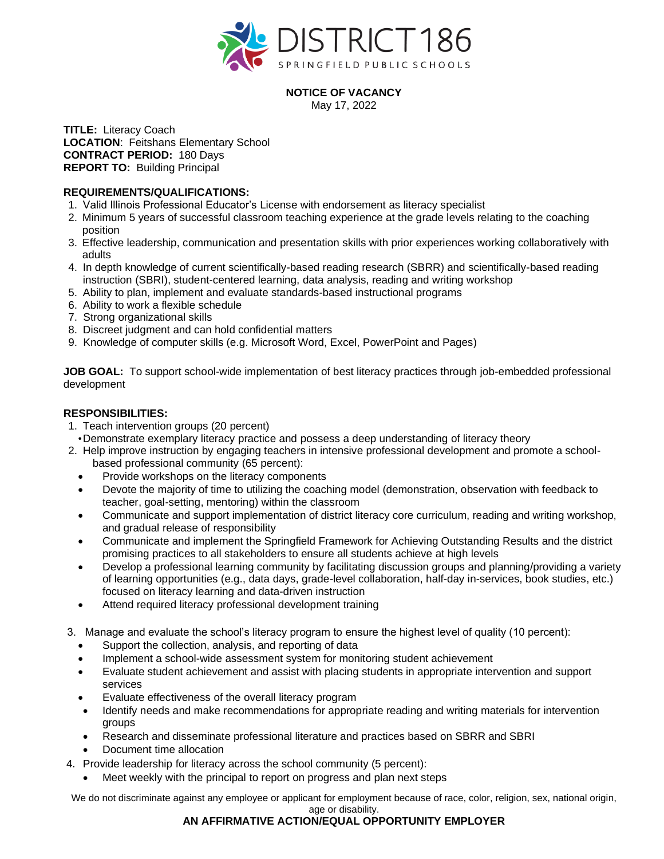

## **NOTICE OF VACANCY**

May 17, 2022

**TITLE:** Literacy Coach **LOCATION**: Feitshans Elementary School **CONTRACT PERIOD:** 180 Days **REPORT TO:** Building Principal

## **REQUIREMENTS/QUALIFICATIONS:**

- 1. Valid Illinois Professional Educator's License with endorsement as literacy specialist
- 2. Minimum 5 years of successful classroom teaching experience at the grade levels relating to the coaching position
- 3. Effective leadership, communication and presentation skills with prior experiences working collaboratively with adults
- 4. In depth knowledge of current scientifically-based reading research (SBRR) and scientifically-based reading instruction (SBRI), student-centered learning, data analysis, reading and writing workshop
- 5. Ability to plan, implement and evaluate standards-based instructional programs
- 6. Ability to work a flexible schedule
- 7. Strong organizational skills
- 8. Discreet judgment and can hold confidential matters
- 9. Knowledge of computer skills (e.g. Microsoft Word, Excel, PowerPoint and Pages)

**JOB GOAL:** To support school-wide implementation of best literacy practices through job-embedded professional development

## **RESPONSIBILITIES:**

- 1. Teach intervention groups (20 percent)
- •Demonstrate exemplary literacy practice and possess a deep understanding of literacy theory
- 2. Help improve instruction by engaging teachers in intensive professional development and promote a schoolbased professional community (65 percent):
	- Provide workshops on the literacy components
	- Devote the majority of time to utilizing the coaching model (demonstration, observation with feedback to teacher, goal-setting, mentoring) within the classroom
	- Communicate and support implementation of district literacy core curriculum, reading and writing workshop, and gradual release of responsibility
	- Communicate and implement the Springfield Framework for Achieving Outstanding Results and the district promising practices to all stakeholders to ensure all students achieve at high levels
	- Develop a professional learning community by facilitating discussion groups and planning/providing a variety of learning opportunities (e.g., data days, grade-level collaboration, half-day in-services, book studies, etc.) focused on literacy learning and data-driven instruction
	- Attend required literacy professional development training
- 3. Manage and evaluate the school's literacy program to ensure the highest level of quality (10 percent):
	- Support the collection, analysis, and reporting of data
	- Implement a school-wide assessment system for monitoring student achievement
	- Evaluate student achievement and assist with placing students in appropriate intervention and support services
	- Evaluate effectiveness of the overall literacy program
	- Identify needs and make recommendations for appropriate reading and writing materials for intervention groups
	- Research and disseminate professional literature and practices based on SBRR and SBRI
	- Document time allocation
- 4. Provide leadership for literacy across the school community (5 percent):
	- Meet weekly with the principal to report on progress and plan next steps

We do not discriminate against any employee or applicant for employment because of race, color, religion, sex, national origin, age or disability.